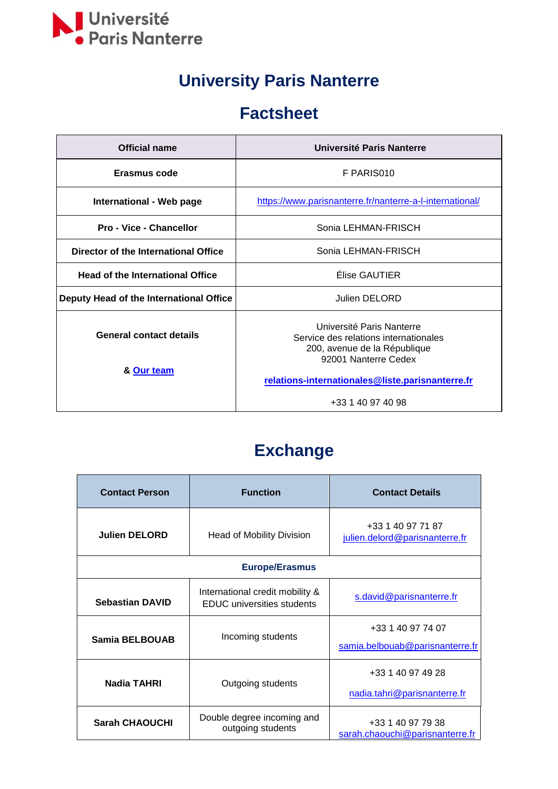

## **University Paris Nanterre**

#### **Factsheet**

| Official name                                | Université Paris Nanterre                                                                                                  |
|----------------------------------------------|----------------------------------------------------------------------------------------------------------------------------|
| Erasmus code                                 | F PARIS010                                                                                                                 |
| International - Web page                     | https://www.parisnanterre.fr/nanterre-a-l-international/                                                                   |
| <b>Pro - Vice - Chancellor</b>               | Sonia LEHMAN-FRISCH                                                                                                        |
| Director of the International Office         | Sonia LEHMAN-FRISCH                                                                                                        |
| <b>Head of the International Office</b>      | Élise GAUTIER                                                                                                              |
| Deputy Head of the International Office      | Julien DELORD                                                                                                              |
| <b>General contact details</b><br>& Our team | Université Paris Nanterre<br>Service des relations internationales<br>200, avenue de la République<br>92001 Nanterre Cedex |
|                                              | relations-internationales@liste.parisnanterre.fr<br>+33 1 40 97 40 98                                                      |
|                                              |                                                                                                                            |

## **Exchange**

| <b>Contact Person</b>  | <b>Function</b>                                                      | <b>Contact Details</b>                               |
|------------------------|----------------------------------------------------------------------|------------------------------------------------------|
| <b>Julien DELORD</b>   | <b>Head of Mobility Division</b>                                     | +33 1 40 97 71 87<br>julien.delord@parisnanterre.fr  |
| <b>Europe/Erasmus</b>  |                                                                      |                                                      |
| <b>Sebastian DAVID</b> | International credit mobility &<br><b>EDUC</b> universities students | s.david@parisnanterre.fr                             |
| <b>Samia BELBOUAB</b>  | Incoming students                                                    | +33 1 40 97 74 07<br>samia.belbouab@parisnanterre.fr |
| Nadia TAHRI            | Outgoing students                                                    | +33 1 40 97 49 28<br>nadia.tahri@parisnanterre.fr    |
| <b>Sarah CHAOUCHI</b>  | Double degree incoming and<br>outgoing students                      | +33 1 40 97 79 38<br>sarah.chaouchi@parisnanterre.fr |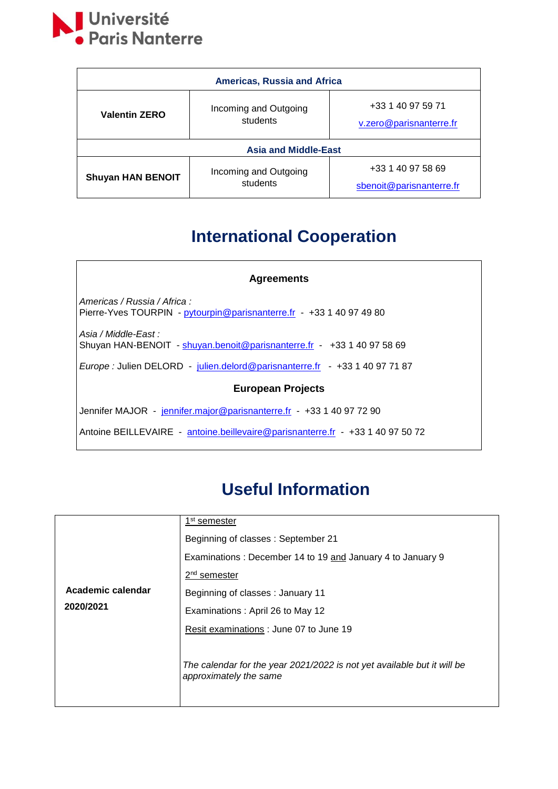

| <b>Americas, Russia and Africa</b> |                                   |                                               |
|------------------------------------|-----------------------------------|-----------------------------------------------|
| <b>Valentin ZERO</b>               | Incoming and Outgoing<br>students | +33 1 40 97 59 71<br>v.zero@parisnanterre.fr  |
| <b>Asia and Middle-East</b>        |                                   |                                               |
| <b>Shuyan HAN BENOIT</b>           | Incoming and Outgoing<br>students | +33 1 40 97 58 69<br>sbenoit@parisnanterre.fr |

## **International Cooperation**

| <b>Agreements</b>                                                                                    |  |  |
|------------------------------------------------------------------------------------------------------|--|--|
| Americas / Russia / Africa :<br>Pierre-Yves TOURPIN - pytourpin@parisnanterre.fr - +33 1 40 97 49 80 |  |  |
| Asia / Middle-East :<br>Shuyan HAN-BENOIT - shuyan.benoit@parisnanterre.fr - +33 1 40 97 58 69       |  |  |
| Europe : Julien DELORD - julien.delord@parisnanterre.fr - +33 1 40 97 71 87                          |  |  |
| <b>European Projects</b>                                                                             |  |  |
| Jennifer MAJOR - jennifer.major@parisnanterre.fr - +33 1 40 97 72 90                                 |  |  |
| Antoine BEILLEVAIRE - antoine.beillevaire@parisnanterre.fr - +33 1 40 97 50 72                       |  |  |

#### **Useful Information**

|                   | 1 <sup>st</sup> semester                                                                          |
|-------------------|---------------------------------------------------------------------------------------------------|
|                   | Beginning of classes: September 21                                                                |
|                   | Examinations: December 14 to 19 and January 4 to January 9                                        |
|                   | 2 <sup>nd</sup> semester                                                                          |
| Academic calendar | Beginning of classes: January 11                                                                  |
| 2020/2021         | Examinations: April 26 to May 12                                                                  |
|                   | Resit examinations : June 07 to June 19                                                           |
|                   | The calendar for the year 2021/2022 is not yet available but it will be<br>approximately the same |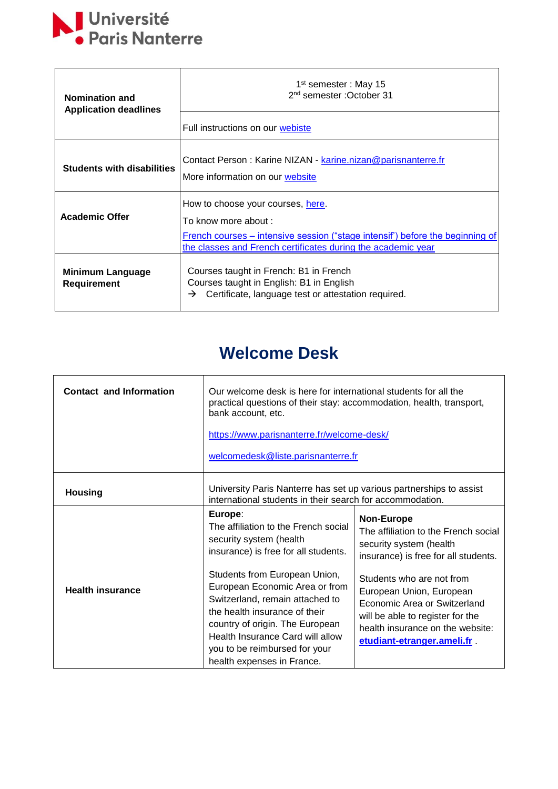

| <b>Nomination and</b><br><b>Application deadlines</b> | $1st$ semester : May 15<br>2 <sup>nd</sup> semester : October 31                                                                                                                                           |
|-------------------------------------------------------|------------------------------------------------------------------------------------------------------------------------------------------------------------------------------------------------------------|
|                                                       | Full instructions on our webiste                                                                                                                                                                           |
| <b>Students with disabilities</b>                     | Contact Person: Karine NIZAN - karine.nizan@parisnanterre.fr<br>More information on our website                                                                                                            |
| <b>Academic Offer</b>                                 | How to choose your courses, here.<br>To know more about :<br>French courses – intensive session ("stage intensif") before the beginning of<br>the classes and French certificates during the academic year |
| Minimum Language<br>Requirement                       | Courses taught in French: B1 in French<br>Courses taught in English: B1 in English<br>Certificate, language test or attestation required.<br>→                                                             |

### **Welcome Desk**

| <b>Contact and Information</b> | Our welcome desk is here for international students for all the<br>practical questions of their stay: accommodation, health, transport,<br>bank account, etc.<br>https://www.parisnanterre.fr/welcome-desk/<br>welcomedesk@liste.parisnanterre.fr                         |                                                                                                                                                                                             |
|--------------------------------|---------------------------------------------------------------------------------------------------------------------------------------------------------------------------------------------------------------------------------------------------------------------------|---------------------------------------------------------------------------------------------------------------------------------------------------------------------------------------------|
| <b>Housing</b>                 | University Paris Nanterre has set up various partnerships to assist<br>international students in their search for accommodation.                                                                                                                                          |                                                                                                                                                                                             |
|                                | Europe:<br>The affiliation to the French social<br>security system (health<br>insurance) is free for all students.                                                                                                                                                        | <b>Non-Europe</b><br>The affiliation to the French social<br>security system (health<br>insurance) is free for all students.                                                                |
| <b>Health insurance</b>        | Students from European Union,<br>European Economic Area or from<br>Switzerland, remain attached to<br>the health insurance of their<br>country of origin. The European<br>Health Insurance Card will allow<br>you to be reimbursed for your<br>health expenses in France. | Students who are not from<br>European Union, European<br>Economic Area or Switzerland<br>will be able to register for the<br>health insurance on the website:<br>etudiant-etranger.ameli.fr |